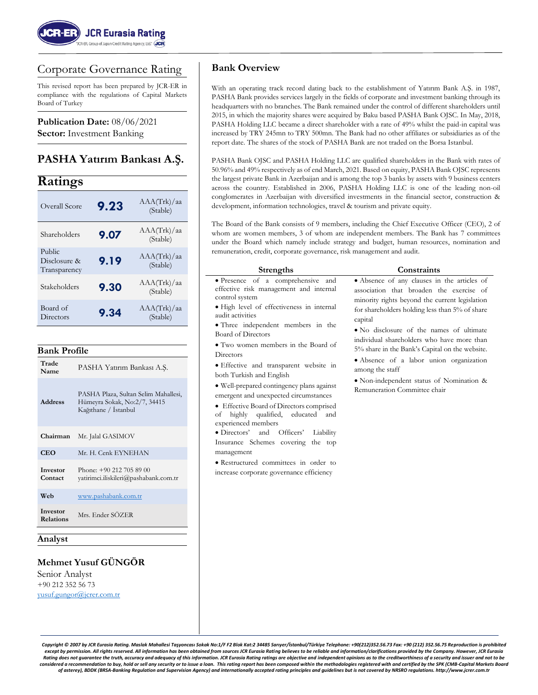

# Corporate Governance Rating

This revised report has been prepared by JCR-ER in compliance with the regulations of Capital Markets Board of Turkey

**Publication Date:** 08/06/2021 **Sector:** Investment Banking

# **PASHA Yatırım Bankası A.Ş.**

# **Ratings**

| Overall Score                          | 9.23 | AAA(Trk)/aa<br>(Stable) |
|----------------------------------------|------|-------------------------|
| Shareholders                           | 9.07 | AAA(Trk)/aa<br>(Stable) |
| Public<br>Disclosure &<br>Transparency | 9.19 | AAA(Trk)/aa<br>(Stable) |
| Stakeholders                           | 9.30 | AAA(Trk)/aa<br>(Stable) |
| Board of<br>Directors                  | 9.34 | AAA(Trk)/aa<br>(Stable) |

#### **Bank Profile**

| <b>Trade</b><br>Name         | PASHA Yatırım Bankası A.Ş.                                                                   |
|------------------------------|----------------------------------------------------------------------------------------------|
| <b>Address</b>               | PASHA Plaza, Sultan Selim Mahallesi,<br>Hümeyra Sokak, No:2/7, 34415<br>Kağıthane / İstanbul |
| Chairman                     | Mr. Jalal GASIMOV                                                                            |
| CEO                          | Mr. H. Cenk EYNEHAN                                                                          |
| Investor<br>Contact          | Phone: $+902127058900$<br>vatirimci.iliskileri@pashabank.com.tr                              |
| Web                          | www.pashabank.com.tr                                                                         |
| Investor<br><b>Relations</b> | Mrs. Ender SÖZER                                                                             |

#### **Analyst**

### **Mehmet Yusuf GÜNGÖR**

Senior Analyst +90 212 352 56 73 [yusuf.gungor@jcrer.com.tr](mailto:yusuf.gungor@jcrer.com.tr)

#### **Bank Overview**

With an operating track record dating back to the establishment of Yatırım Bank A.Ş. in 1987, PASHA Bank provides services largely in the fields of corporate and investment banking through its headquarters with no branches. The Bank remained under the control of different shareholders until 2015, in which the majority shares were acquired by Baku based PASHA Bank OJSC. In May, 2018, PASHA Holding LLC became a direct shareholder with a rate of 49% whilst the paid-in capital was increased by TRY 245mn to TRY 500mn. The Bank had no other affiliates or subsidiaries as of the report date. The shares of the stock of PASHA Bank are not traded on the Borsa Istanbul.

PASHA Bank OJSC and PASHA Holding LLC are qualified shareholders in the Bank with rates of 50.96% and 49% respectively as of end March, 2021. Based on equity, PASHA Bank OJSC represents the largest private Bank in Azerbaijan and is among the top 3 banks by assets with 9 business centers across the country. Established in 2006, PASHA Holding LLC is one of the leading non-oil conglomerates in Azerbaijan with diversified investments in the financial sector, construction & development, information technologies, travel & tourism and private equity.

The Board of the Bank consists of 9 members, including the Chief Executive Officer (CEO), 2 of whom are women members, 3 of whom are independent members. The Bank has 7 committees under the Board which namely include strategy and budget, human resources, nomination and remuneration, credit, corporate governance, risk management and audit.

of highly qualified, educated and

• Directors' and Officers' Liability Insurance Schemes covering the top

• Restructured committees in order to increase corporate governance efficiency

experienced members

management

**Directors** 

#### **Strengths Constraints** • Presence of a comprehensive and effective risk management and internal control system • High level of effectiveness in internal audit activities • Three independent members in the Board of Directors • Two women members in the Board of • Effective and transparent website in both Turkish and English • Well-prepared contingency plans against emergent and unexpected circumstances • Effective Board of Directors comprised • Absence of any clauses in the articles of association that broaden the exercise of minority rights beyond the current legislation for shareholders holding less than 5% of share capital • No disclosure of the names of ultimate individual shareholders who have more than 5% share in the Bank's Capital on the website. • Absence of a labor union organization among the staff • Non-independent status of Nomination & Remuneration Committee chair

*Copyright © 2007 by JCR Eurasia Rating. Maslak Mahallesi Taşyoncası Sokak No:1/F F2 Blok Kat:2 34485 Sarıyer/İstanbul/Türkiye Telephone: +90(212)352.56.73 Fax: +90 (212) 352.56.75 Reproduction is prohibited except by permission. All rights reserved. All information has been obtained from sources JCR Eurasia Rating believes to be reliable and information/clarifications provided by the Company. However, JCR Eurasia Rating does not guarantee the truth, accuracy and adequacy of this information. JCR Eurasia Rating ratings are objective and independent opinions as to the creditworthiness of a security and issuer and not to be considered a recommendation to buy, hold or sell any security or to issue a loan. This rating report has been composed within the methodologies registered with and certified by the SPK (CMB-Capital Markets Board of asterey), BDDK (BRSA-Banking Regulation and Supervision Agency) and internationally accepted rating principles and guidelines but is not covered by NRSRO regulations. http://www.jcrer.com.tr*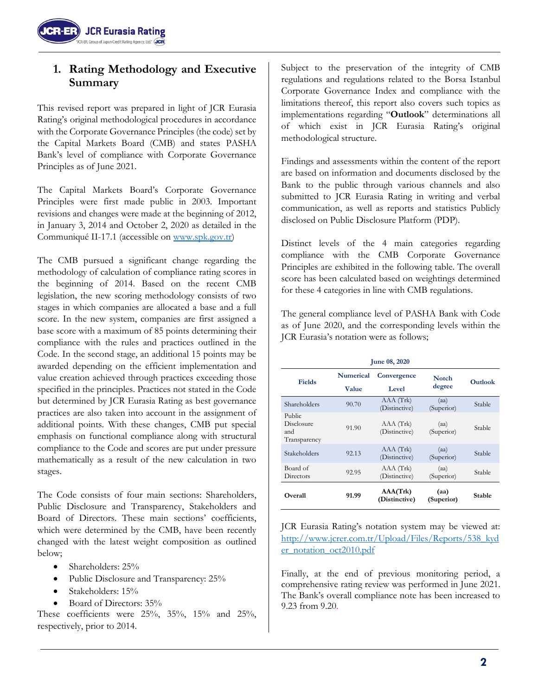

# **1. Rating Methodology and Executive Summary**

This revised report was prepared in light of JCR Eurasia Rating's original methodological procedures in accordance with the Corporate Governance Principles (the code) set by the Capital Markets Board (CMB) and states PASHA Bank's level of compliance with Corporate Governance Principles as of June 2021.

The Capital Markets Board's Corporate Governance Principles were first made public in 2003. Important revisions and changes were made at the beginning of 2012, in January 3, 2014 and October 2, 2020 as detailed in the Communiqué II-17.1 (accessible on [www.spk.gov.tr\)](http://www.spk.gov.tr/)

The CMB pursued a significant change regarding the methodology of calculation of compliance rating scores in the beginning of 2014. Based on the recent CMB legislation, the new scoring methodology consists of two stages in which companies are allocated a base and a full score. In the new system, companies are first assigned a base score with a maximum of 85 points determining their compliance with the rules and practices outlined in the Code. In the second stage, an additional 15 points may be awarded depending on the efficient implementation and value creation achieved through practices exceeding those specified in the principles. Practices not stated in the Code but determined by JCR Eurasia Rating as best governance practices are also taken into account in the assignment of additional points. With these changes, CMB put special emphasis on functional compliance along with structural compliance to the Code and scores are put under pressure mathematically as a result of the new calculation in two stages.

The Code consists of four main sections: Shareholders, Public Disclosure and Transparency, Stakeholders and Board of Directors. These main sections' coefficients, which were determined by the CMB, have been recently changed with the latest weight composition as outlined below;

- Shareholders: 25%
- Public Disclosure and Transparency: 25%
- Stakeholders: 15%
- Board of Directors: 35%

These coefficients were 25%, 35%, 15% and 25%, respectively, prior to 2014.

Subject to the preservation of the integrity of CMB regulations and regulations related to the Borsa Istanbul Corporate Governance Index and compliance with the limitations thereof, this report also covers such topics as implementations regarding "**Outlook**" determinations all of which exist in JCR Eurasia Rating's original methodological structure.

Findings and assessments within the content of the report are based on information and documents disclosed by the Bank to the public through various channels and also submitted to JCR Eurasia Rating in writing and verbal communication, as well as reports and statistics Publicly disclosed on Public Disclosure Platform (PDP).

Distinct levels of the 4 main categories regarding compliance with the CMB Corporate Governance Principles are exhibited in the following table. The overall score has been calculated based on weightings determined for these 4 categories in line with CMB regulations.

The general compliance level of PASHA Bank with Code as of June 2020, and the corresponding levels within the JCR Eurasia's notation were as follows;

| <b>June 08, 2020</b>                        |                  |                            |                    |               |  |
|---------------------------------------------|------------------|----------------------------|--------------------|---------------|--|
| Fields                                      | <b>Numerical</b> | Convergence                | <b>Notch</b>       |               |  |
|                                             | Value            | Level                      | degree             | Outlook       |  |
| Shareholders                                | 90.70            | AAA (Trk)<br>(Distinctive) | (aa)<br>(Superior) | <b>Stable</b> |  |
| Public<br>Disclosure<br>and<br>Transparency | 91.90            | AAA(Trk)<br>(Distinctive)  | (aa)<br>(Superior) | <b>Stable</b> |  |
| Stakeholders                                | 92.13            | AAA(Trk)<br>(Distinctive)  | (aa)<br>(Superior) | <b>Stable</b> |  |
| Board of<br>Directors                       | 92.95            | AAA(Trk)<br>(Distinctive)  | (aa)<br>(Superior) | <b>Stable</b> |  |
| Overall                                     | 91.99            | AAA(Trk)<br>(Distinctive)  | (aa)<br>(Superior) | <b>Stable</b> |  |

JCR Eurasia Rating's notation system may be viewed at: [http://www.jcrer.com.tr/Upload/Files/Reports/538\\_kyd](http://www.jcrer.com.tr/Upload/Files/Reports/538_kyder_notation_oct2010.pdf) [er\\_notation\\_oct2010.pdf](http://www.jcrer.com.tr/Upload/Files/Reports/538_kyder_notation_oct2010.pdf)

Finally, at the end of previous monitoring period, a comprehensive rating review was performed in June 2021. The Bank's overall compliance note has been increased to 9.23 from 9.20.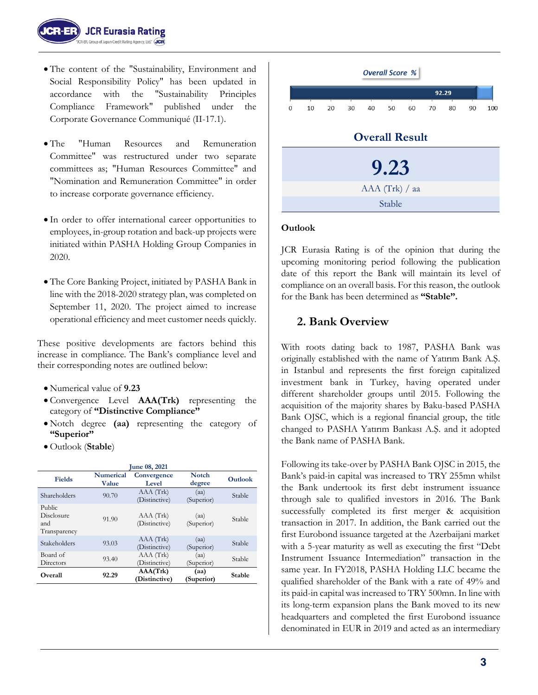

- The content of the "Sustainability, Environment and Social Responsibility Policy" has been updated in accordance with the "Sustainability Principles Compliance Framework" published under the Corporate Governance Communiqué (II-17.1).
- The "Human Resources and Remuneration Committee" was restructured under two separate committees as; "Human Resources Committee" and "Nomination and Remuneration Committee" in order to increase corporate governance efficiency.
- In order to offer international career opportunities to employees, in-group rotation and back-up projects were initiated within PASHA Holding Group Companies in 2020.
- The Core Banking Project, initiated by PASHA Bank in line with the 2018-2020 strategy plan, was completed on September 11, 2020. The project aimed to increase operational efficiency and meet customer needs quickly.

These positive developments are factors behind this increase in compliance. The Bank's compliance level and their corresponding notes are outlined below:

- Numerical value of **9.23**
- Convergence Level **AAA(Trk)** representing the category of **"Distinctive Compliance"**
- Notch degree **(aa)** representing the category of **"Superior"**
- Outlook (**Stable**)

| June 08, 2021                               |                           |                            |                        |                |  |
|---------------------------------------------|---------------------------|----------------------------|------------------------|----------------|--|
| <b>Fields</b>                               | <b>Numerical</b><br>Value | Convergence<br>Level       | <b>Notch</b><br>degree | <b>Outlook</b> |  |
| Shareholders                                | 90.70                     | AAA(Trk)<br>(Distinctive)  | (aa)<br>(Superior)     | <b>Stable</b>  |  |
| Public<br>Disclosure<br>and<br>Transparency | 91.90                     | AAA(Trk)<br>(Distinctive)  | (aa)<br>(Superior)     | <b>Stable</b>  |  |
| Stakeholders                                | 93.03                     | AAA(Trk)<br>(Distinctive)  | (aa)<br>(Superior)     | Stable         |  |
| Board of<br>Directors                       | 93.40                     | AAA (Trk)<br>(Distinctive) | (aa)<br>(Superior)     | Stable         |  |
| Overall                                     | 92.29                     | AA(Trk)<br>(Distinctive)   | (aa)<br>(Superior)     | <b>Stable</b>  |  |



#### **Outlook**

JCR Eurasia Rating is of the opinion that during the upcoming monitoring period following the publication date of this report the Bank will maintain its level of compliance on an overall basis. For this reason, the outlook for the Bank has been determined as **"Stable".**

# **2. Bank Overview**

With roots dating back to 1987, PASHA Bank was originally established with the name of Yatırım Bank A.Ş. in Istanbul and represents the first foreign capitalized investment bank in Turkey, having operated under different shareholder groups until 2015. Following the acquisition of the majority shares by Baku-based PASHA Bank OJSC, which is a regional financial group, the title changed to PASHA Yatırım Bankası A.Ş. and it adopted the Bank name of PASHA Bank.

Following its take-over by PASHA Bank OJSC in 2015, the Bank's paid-in capital was increased to TRY 255mn whilst the Bank undertook its first debt instrument issuance through sale to qualified investors in 2016. The Bank successfully completed its first merger & acquisition transaction in 2017. In addition, the Bank carried out the first Eurobond issuance targeted at the Azerbaijani market with a 5-year maturity as well as executing the first "Debt Instrument Issuance Intermediation" transaction in the same year. In FY2018, PASHA Holding LLC became the qualified shareholder of the Bank with a rate of 49% and its paid-in capital was increased to TRY 500mn. In line with its long-term expansion plans the Bank moved to its new headquarters and completed the first Eurobond issuance denominated in EUR in 2019 and acted as an intermediary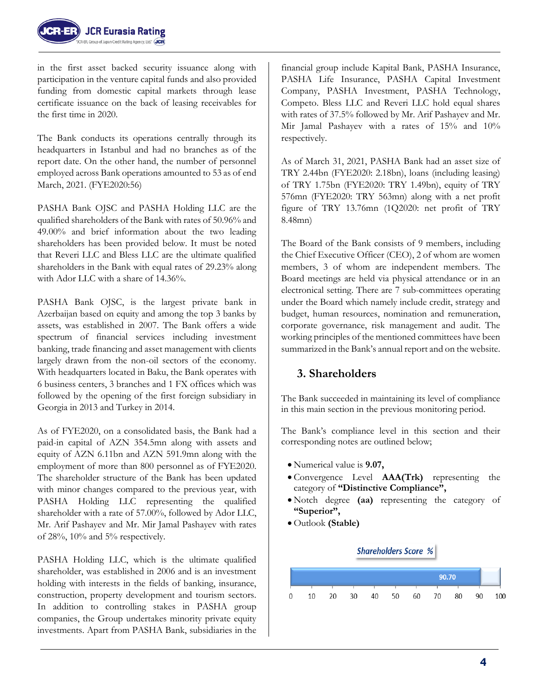

in the first asset backed security issuance along with participation in the venture capital funds and also provided funding from domestic capital markets through lease certificate issuance on the back of leasing receivables for the first time in 2020.

The Bank conducts its operations centrally through its headquarters in Istanbul and had no branches as of the report date. On the other hand, the number of personnel employed across Bank operations amounted to 53 as of end March, 2021. (FYE2020:56)

PASHA Bank OJSC and PASHA Holding LLC are the qualified shareholders of the Bank with rates of 50.96% and 49.00% and brief information about the two leading shareholders has been provided below. It must be noted that Reveri LLC and Bless LLC are the ultimate qualified shareholders in the Bank with equal rates of 29.23% along with Ador LLC with a share of 14.36%.

PASHA Bank OJSC, is the largest private bank in Azerbaijan based on equity and among the top 3 banks by assets, was established in 2007. The Bank offers a wide spectrum of financial services including investment banking, trade financing and asset management with clients largely drawn from the non-oil sectors of the economy. With headquarters located in Baku, the Bank operates with 6 business centers, 3 branches and 1 FX offices which was followed by the opening of the first foreign subsidiary in Georgia in 2013 and Turkey in 2014.

As of FYE2020, on a consolidated basis, the Bank had a paid-in capital of AZN 354.5mn along with assets and equity of AZN 6.11bn and AZN 591.9mn along with the employment of more than 800 personnel as of FYE2020. The shareholder structure of the Bank has been updated with minor changes compared to the previous year, with PASHA Holding LLC representing the qualified shareholder with a rate of 57.00%, followed by Ador LLC, Mr. Arif Pashayev and Mr. Mir Jamal Pashayev with rates of 28%, 10% and 5% respectively.

PASHA Holding LLC, which is the ultimate qualified shareholder, was established in 2006 and is an investment holding with interests in the fields of banking, insurance, construction, property development and tourism sectors. In addition to controlling stakes in PASHA group companies, the Group undertakes minority private equity investments. Apart from PASHA Bank, subsidiaries in the

financial group include Kapital Bank, PASHA Insurance, PASHA Life Insurance, PASHA Capital Investment Company, PASHA Investment, PASHA Technology, Competo. Bless LLC and Reveri LLC hold equal shares with rates of 37.5% followed by Mr. Arif Pashayev and Mr. Mir Jamal Pashayev with a rates of 15% and 10% respectively.

As of March 31, 2021, PASHA Bank had an asset size of TRY 2.44bn (FYE2020: 2.18bn), loans (including leasing) of TRY 1.75bn (FYE2020: TRY 1.49bn), equity of TRY 576mn (FYE2020: TRY 563mn) along with a net profit figure of TRY 13.76mn (1Q2020: net profit of TRY 8.48mn)

The Board of the Bank consists of 9 members, including the Chief Executive Officer (CEO), 2 of whom are women members, 3 of whom are independent members. The Board meetings are held via physical attendance or in an electronical setting. There are 7 sub-committees operating under the Board which namely include credit, strategy and budget, human resources, nomination and remuneration, corporate governance, risk management and audit. The working principles of the mentioned committees have been summarized in the Bank's annual report and on the website.

# **3. Shareholders**

The Bank succeeded in maintaining its level of compliance in this main section in the previous monitoring period.

The Bank's compliance level in this section and their corresponding notes are outlined below;

- Numerical value is **9.07,**
- Convergence Level **AAA(Trk)** representing the category of **"Distinctive Compliance",**
- Notch degree **(aa)** representing the category of **"Superior",**
- Outlook **(Stable)**

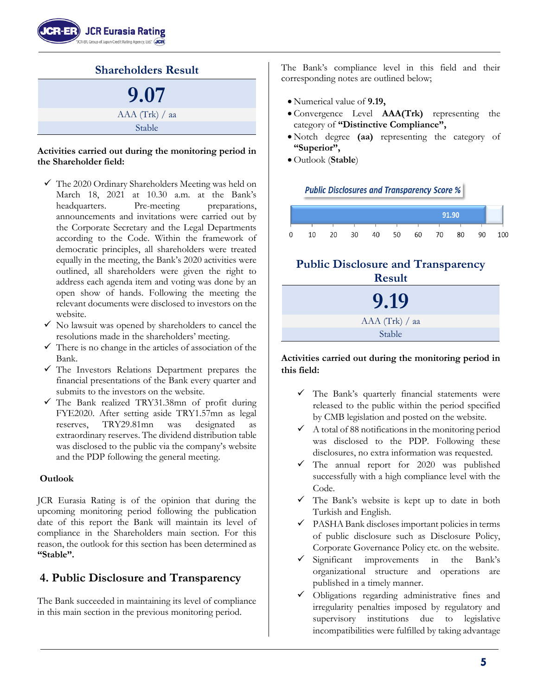



#### **Activities carried out during the monitoring period in the Shareholder field:**

- $\checkmark$  The 2020 Ordinary Shareholders Meeting was held on March 18, 2021 at 10.30 a.m. at the Bank's headquarters. Pre-meeting preparations, announcements and invitations were carried out by the Corporate Secretary and the Legal Departments according to the Code. Within the framework of democratic principles, all shareholders were treated equally in the meeting, the Bank's 2020 activities were outlined, all shareholders were given the right to address each agenda item and voting was done by an open show of hands. Following the meeting the relevant documents were disclosed to investors on the website.
- $\checkmark$  No lawsuit was opened by shareholders to cancel the resolutions made in the shareholders' meeting.
- $\checkmark$  There is no change in the articles of association of the Bank.
- $\checkmark$  The Investors Relations Department prepares the financial presentations of the Bank every quarter and submits to the investors on the website.
- ✓ The Bank realized TRY31.38mn of profit during FYE2020. After setting aside TRY1.57mn as legal reserves, TRY29.81mn was designated as extraordinary reserves. The dividend distribution table was disclosed to the public via the company's website and the PDP following the general meeting.

#### **Outlook**

JCR Eurasia Rating is of the opinion that during the upcoming monitoring period following the publication date of this report the Bank will maintain its level of compliance in the Shareholders main section. For this reason, the outlook for this section has been determined as **"Stable".**

# **4. Public Disclosure and Transparency**

The Bank succeeded in maintaining its level of compliance in this main section in the previous monitoring period.

The Bank's compliance level in this field and their corresponding notes are outlined below;

- Numerical value of **9.19,**
- Convergence Level **AAA(Trk)** representing the category of **"Distinctive Compliance",**
- Notch degree **(aa)** representing the category of **"Superior",**
- Outlook (**Stable**)

**Public Disclosures and Transparency Score %** 



# **Public Disclosure and Transparency Result**



#### **Activities carried out during the monitoring period in this field:**

- ✓ The Bank's quarterly financial statements were released to the public within the period specified by CMB legislation and posted on the website.
- $\checkmark$  A total of 88 notifications in the monitoring period was disclosed to the PDP. Following these disclosures, no extra information was requested.
- $\checkmark$  The annual report for 2020 was published successfully with a high compliance level with the Code.
- $\checkmark$  The Bank's website is kept up to date in both Turkish and English.
- ✓ PASHA Bank discloses important policies in terms of public disclosure such as Disclosure Policy, Corporate Governance Policy etc. on the website.
- ✓ Significant improvements in the Bank's organizational structure and operations are published in a timely manner.
- Obligations regarding administrative fines and irregularity penalties imposed by regulatory and supervisory institutions due to legislative incompatibilities were fulfilled by taking advantage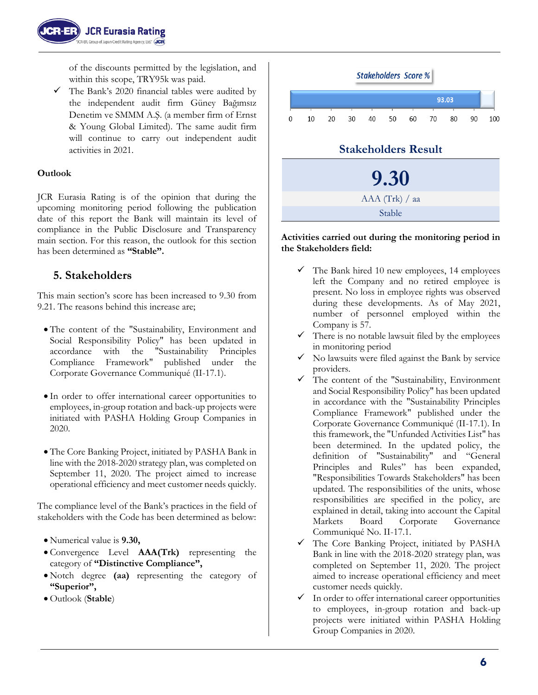of the discounts permitted by the legislation, and within this scope, TRY95k was paid.

 $\checkmark$  The Bank's 2020 financial tables were audited by the independent audit firm Güney Bağımsız Denetim ve SMMM A.Ş. (a member firm of Ernst & Young Global Limited). The same audit firm will continue to carry out independent audit activities in 2021.

# **Outlook**

JCR Eurasia Rating is of the opinion that during the upcoming monitoring period following the publication date of this report the Bank will maintain its level of compliance in the Public Disclosure and Transparency main section. For this reason, the outlook for this section has been determined as **"Stable".**

# **5. Stakeholders**

This main section's score has been increased to 9.30 from 9.21. The reasons behind this increase are;

- The content of the "Sustainability, Environment and Social Responsibility Policy" has been updated in accordance with the "Sustainability Principles Compliance Framework" published under the Corporate Governance Communiqué (II-17.1).
- In order to offer international career opportunities to employees, in-group rotation and back-up projects were initiated with PASHA Holding Group Companies in 2020.
- The Core Banking Project, initiated by PASHA Bank in line with the 2018-2020 strategy plan, was completed on September 11, 2020. The project aimed to increase operational efficiency and meet customer needs quickly.

The compliance level of the Bank's practices in the field of stakeholders with the Code has been determined as below:

- Numerical value is **9.30,**
- Convergence Level **AAA(Trk)** representing the category of **"Distinctive Compliance",**
- Notch degree **(aa)** representing the category of **"Superior",**
- Outlook (**Stable**)



#### **Activities carried out during the monitoring period in the Stakeholders field:**

- $\checkmark$  The Bank hired 10 new employees, 14 employees left the Company and no retired employee is present. No loss in employee rights was observed during these developments. As of May 2021, number of personnel employed within the Company is 57.
- There is no notable lawsuit filed by the employees in monitoring period
- No lawsuits were filed against the Bank by service providers.
- The content of the "Sustainability, Environment and Social Responsibility Policy" has been updated in accordance with the "Sustainability Principles Compliance Framework" published under the Corporate Governance Communiqué (II-17.1). In this framework, the "Unfunded Activities List" has been determined. In the updated policy, the definition of "Sustainability" and "General Principles and Rules" has been expanded, "Responsibilities Towards Stakeholders" has been updated. The responsibilities of the units, whose responsibilities are specified in the policy, are explained in detail, taking into account the Capital Markets Board Corporate Governance Communiqué No. II-17.1.
- ✓ The Core Banking Project, initiated by PASHA Bank in line with the 2018-2020 strategy plan, was completed on September 11, 2020. The project aimed to increase operational efficiency and meet customer needs quickly.
- ✓ In order to offer international career opportunities to employees, in-group rotation and back-up projects were initiated within PASHA Holding Group Companies in 2020.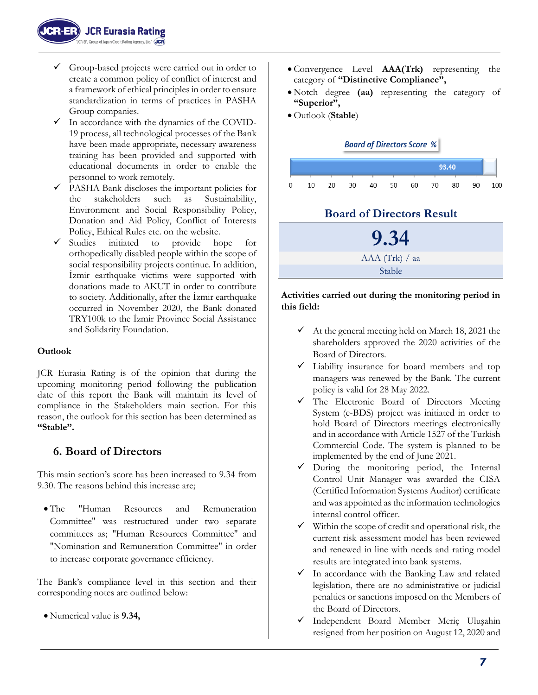

- $\checkmark$  Group-based projects were carried out in order to create a common policy of conflict of interest and a framework of ethical principles in order to ensure standardization in terms of practices in PASHA Group companies.
- $\checkmark$  In accordance with the dynamics of the COVID-19 process, all technological processes of the Bank have been made appropriate, necessary awareness training has been provided and supported with educational documents in order to enable the personnel to work remotely.
- $\checkmark$  PASHA Bank discloses the important policies for the stakeholders such as Sustainability, Environment and Social Responsibility Policy, Donation and Aid Policy, Conflict of Interests Policy, Ethical Rules etc. on the website.
- ✓ Studies initiated to provide hope for orthopedically disabled people within the scope of social responsibility projects continue. In addition, İzmir earthquake victims were supported with donations made to AKUT in order to contribute to society. Additionally, after the İzmir earthquake occurred in November 2020, the Bank donated TRY100k to the İzmir Province Social Assistance and Solidarity Foundation.

#### **Outlook**

JCR Eurasia Rating is of the opinion that during the upcoming monitoring period following the publication date of this report the Bank will maintain its level of compliance in the Stakeholders main section. For this reason, the outlook for this section has been determined as **"Stable".**

# **6. Board of Directors**

This main section's score has been increased to 9.34 from 9.30. The reasons behind this increase are;

• The "Human Resources and Remuneration Committee" was restructured under two separate committees as; "Human Resources Committee" and "Nomination and Remuneration Committee" in order to increase corporate governance efficiency.

The Bank's compliance level in this section and their corresponding notes are outlined below:

• Numerical value is **9.34,**

- Convergence Level **AAA(Trk)** representing the category of **"Distinctive Compliance",**
- Notch degree **(aa)** representing the category of **"Superior",**
- Outlook (**Stable**)



# **Board of Directors Result**



#### **Activities carried out during the monitoring period in this field:**

- $\checkmark$  At the general meeting held on March 18, 2021 the shareholders approved the 2020 activities of the Board of Directors.
- ✓ Liability insurance for board members and top managers was renewed by the Bank. The current policy is valid for 28 May 2022.
- The Electronic Board of Directors Meeting System (e-BDS) project was initiated in order to hold Board of Directors meetings electronically and in accordance with Article 1527 of the Turkish Commercial Code. The system is planned to be implemented by the end of June 2021.
- ✓ During the monitoring period, the Internal Control Unit Manager was awarded the CISA (Certified Information Systems Auditor) certificate and was appointed as the information technologies internal control officer.
- ✓ Within the scope of credit and operational risk, the current risk assessment model has been reviewed and renewed in line with needs and rating model results are integrated into bank systems.
- In accordance with the Banking Law and related legislation, there are no administrative or judicial penalties or sanctions imposed on the Members of the Board of Directors.
- ✓ Independent Board Member Meriç Uluşahin resigned from her position on August 12, 2020 and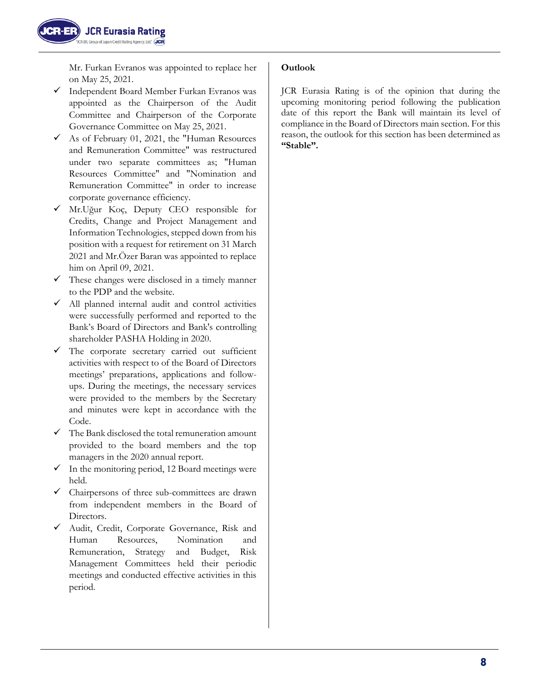Mr. Furkan Evranos was appointed to replace her on May 25, 2021.

- ✓ Independent Board Member Furkan Evranos was appointed as the Chairperson of the Audit Committee and Chairperson of the Corporate Governance Committee on May 25, 2021.
- $\checkmark$  As of February 01, 2021, the "Human Resources" and Remuneration Committee" was restructured under two separate committees as; "Human Resources Committee" and "Nomination and Remuneration Committee" in order to increase corporate governance efficiency.
- ✓ Mr.Uğur Koç, Deputy CEO responsible for Credits, Change and Project Management and Information Technologies, stepped down from his position with a request for retirement on 31 March 2021 and Mr.Özer Baran was appointed to replace him on April 09, 2021.
- $\checkmark$  These changes were disclosed in a timely manner to the PDP and the website.
- ✓ All planned internal audit and control activities were successfully performed and reported to the Bank's Board of Directors and Bank's controlling shareholder PASHA Holding in 2020.
- $\checkmark$  The corporate secretary carried out sufficient activities with respect to of the Board of Directors meetings' preparations, applications and followups. During the meetings, the necessary services were provided to the members by the Secretary and minutes were kept in accordance with the Code.
- $\checkmark$  The Bank disclosed the total remuneration amount provided to the board members and the top managers in the 2020 annual report.
- $\checkmark$  In the monitoring period, 12 Board meetings were held.
- ✓ Chairpersons of three sub-committees are drawn from independent members in the Board of Directors.
- Audit, Credit, Corporate Governance, Risk and Human Resources, Nomination and Remuneration, Strategy and Budget, Risk Management Committees held their periodic meetings and conducted effective activities in this period.

# **Outlook**

JCR Eurasia Rating is of the opinion that during the upcoming monitoring period following the publication date of this report the Bank will maintain its level of compliance in the Board of Directors main section. For this reason, the outlook for this section has been determined as **"Stable".**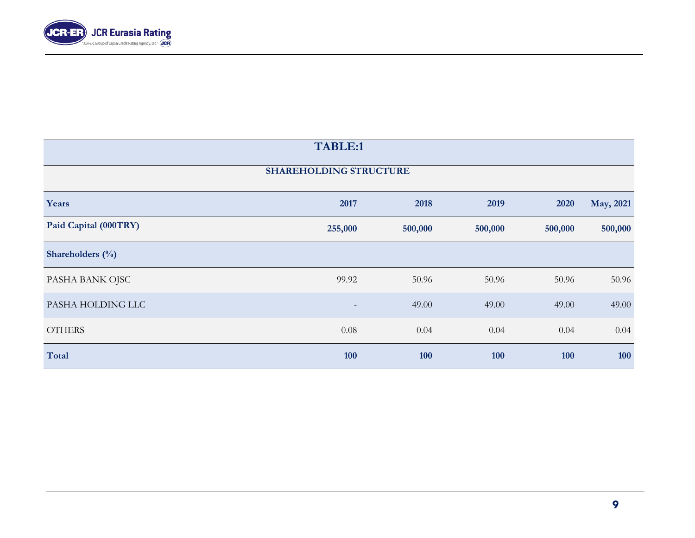

| TABLE:1               |                               |            |         |            |           |
|-----------------------|-------------------------------|------------|---------|------------|-----------|
|                       | <b>SHAREHOLDING STRUCTURE</b> |            |         |            |           |
| Years                 | 2017                          | 2018       | 2019    | 2020       | May, 2021 |
| Paid Capital (000TRY) | 255,000                       | 500,000    | 500,000 | 500,000    | 500,000   |
| Shareholders $(\% )$  |                               |            |         |            |           |
| PASHA BANK OJSC       | 99.92                         | 50.96      | 50.96   | 50.96      | 50.96     |
| PASHA HOLDING LLC     | $\overline{\phantom{a}}$      | 49.00      | 49.00   | 49.00      | 49.00     |
| <b>OTHERS</b>         | 0.08                          | 0.04       | 0.04    | 0.04       | 0.04      |
| <b>Total</b>          | 100                           | <b>100</b> | 100     | <b>100</b> | 100       |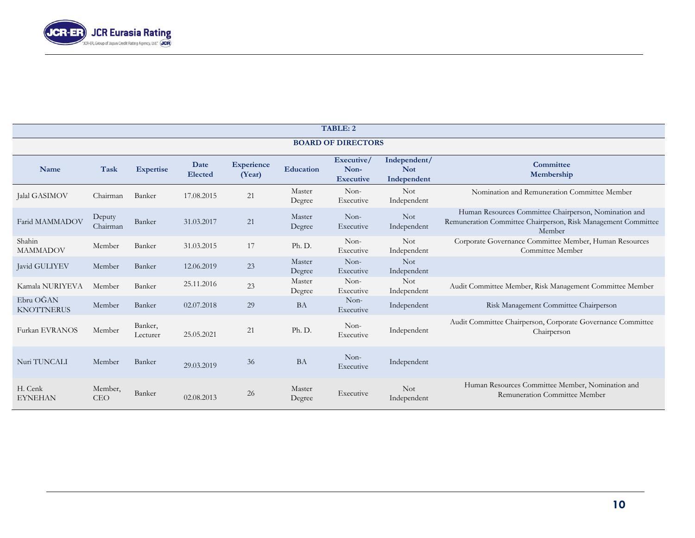

| TABLE: 2                       |                       |                     |                 |                             |                  |                                        |                                           |                                                                                                                                  |
|--------------------------------|-----------------------|---------------------|-----------------|-----------------------------|------------------|----------------------------------------|-------------------------------------------|----------------------------------------------------------------------------------------------------------------------------------|
| <b>BOARD OF DIRECTORS</b>      |                       |                     |                 |                             |                  |                                        |                                           |                                                                                                                                  |
| Name                           | Task                  | <b>Expertise</b>    | Date<br>Elected | <b>Experience</b><br>(Year) | Education        | Executive/<br>Non-<br><b>Executive</b> | Independent/<br><b>Not</b><br>Independent | Committee<br>Membership                                                                                                          |
| Jalal GASIMOV                  | Chairman              | Banker              | 17.08.2015      | 21                          | Master<br>Degree | Non-<br>Executive                      | <b>Not</b><br>Independent                 | Nomination and Remuneration Committee Member                                                                                     |
| Farid MAMMADOV                 | Deputy<br>Chairman    | Banker              | 31.03.2017      | $21\,$                      | Master<br>Degree | Non-<br>Executive                      | <b>Not</b><br>Independent                 | Human Resources Committee Chairperson, Nomination and<br>Remuneration Committee Chairperson, Risk Management Committee<br>Member |
| Shahin<br><b>MAMMADOV</b>      | Member                | Banker              | 31.03.2015      | 17                          | Ph. D.           | Non-<br>Executive                      | <b>Not</b><br>Independent                 | Corporate Governance Committee Member, Human Resources<br>Committee Member                                                       |
| Javid GULIYEV                  | Member                | Banker              | 12.06.2019      | 23                          | Master<br>Degree | Non-<br>Executive                      | <b>Not</b><br>Independent                 |                                                                                                                                  |
| Kamala NURIYEVA                | Member                | Banker              | 25.11.2016      | 23                          | Master<br>Degree | Non-<br>Executive                      | <b>Not</b><br>Independent                 | Audit Committee Member, Risk Management Committee Member                                                                         |
| Ebru OĞAN<br><b>KNOTTNERUS</b> | Member                | Banker              | 02.07.2018      | 29                          | <b>BA</b>        | $Non-$<br>Executive                    | Independent                               | Risk Management Committee Chairperson                                                                                            |
| Furkan EVRANOS                 | Member                | Banker,<br>Lecturer | 25.05.2021      | 21                          | Ph. D.           | Non-<br>Executive                      | Independent                               | Audit Committee Chairperson, Corporate Governance Committee<br>Chairperson                                                       |
| Nuri TUNCALI                   | Member                | Banker              | 29.03.2019      | 36                          | <b>BA</b>        | Non-<br>Executive                      | Independent                               |                                                                                                                                  |
| H. Cenk<br><b>EYNEHAN</b>      | Member,<br><b>CEO</b> | Banker              | 02.08.2013      | 26                          | Master<br>Degree | Executive                              | <b>Not</b><br>Independent                 | Human Resources Committee Member, Nomination and<br>Remuneration Committee Member                                                |